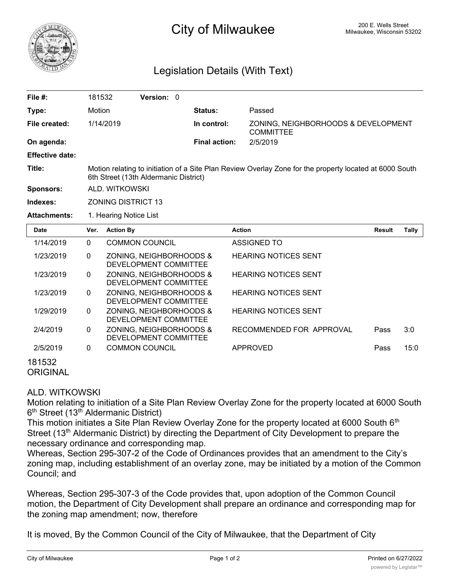

# <sup>200 E.</sup> Wells Street **City of Milwaukee** Milwaukee, Wisconsin 53202

## Legislation Details (With Text)

| File #:                | 181532                                                                                                                                           | Version: 0                                       |                      |                                                         |               |       |
|------------------------|--------------------------------------------------------------------------------------------------------------------------------------------------|--------------------------------------------------|----------------------|---------------------------------------------------------|---------------|-------|
| Type:                  | Motion                                                                                                                                           |                                                  | Status:              | Passed                                                  |               |       |
| File created:          | 1/14/2019                                                                                                                                        |                                                  | In control:          | ZONING, NEIGHBORHOODS & DEVELOPMENT<br><b>COMMITTEE</b> |               |       |
| On agenda:             |                                                                                                                                                  |                                                  | <b>Final action:</b> | 2/5/2019                                                |               |       |
| <b>Effective date:</b> |                                                                                                                                                  |                                                  |                      |                                                         |               |       |
| Title:                 | Motion relating to initiation of a Site Plan Review Overlay Zone for the property located at 6000 South<br>6th Street (13th Aldermanic District) |                                                  |                      |                                                         |               |       |
| Sponsors:              | ALD. WITKOWSKI                                                                                                                                   |                                                  |                      |                                                         |               |       |
| Indexes:               | <b>ZONING DISTRICT 13</b>                                                                                                                        |                                                  |                      |                                                         |               |       |
| <b>Attachments:</b>    | 1. Hearing Notice List                                                                                                                           |                                                  |                      |                                                         |               |       |
| <b>Date</b>            | Ver.                                                                                                                                             | <b>Action By</b>                                 |                      | <b>Action</b>                                           | <b>Result</b> | Tally |
| 1/14/2019              | $\Omega$                                                                                                                                         | <b>COMMON COUNCIL</b>                            |                      | <b>ASSIGNED TO</b>                                      |               |       |
| 1/23/2019              | $\mathbf{0}$                                                                                                                                     | ZONING, NEIGHBORHOODS &<br>DEVELOPMENT COMMITTEE |                      | <b>HEARING NOTICES SENT</b>                             |               |       |
| 1/23/2019              | $\Omega$                                                                                                                                         | ZONING, NEIGHBORHOODS &<br>DEVELOPMENT COMMITTEE |                      | <b>HEARING NOTICES SENT</b>                             |               |       |
| 1/23/2019              | $\mathbf{0}$                                                                                                                                     | ZONING, NEIGHBORHOODS &<br>DEVELOPMENT COMMITTEE |                      | <b>HEARING NOTICES SENT</b>                             |               |       |
| 1/29/2019              | $\mathbf{0}$                                                                                                                                     | ZONING, NEIGHBORHOODS &<br>DEVELOPMENT COMMITTEE |                      | <b>HEARING NOTICES SENT</b>                             |               |       |
| 2/4/2019               | $\mathbf{0}$                                                                                                                                     | ZONING, NEIGHBORHOODS &<br>DEVELOPMENT COMMITTEE |                      | RECOMMENDED FOR APPROVAL                                | Pass          | 3:0   |

#### 181532 **ORIGINAL**

### ALD. WITKOWSKI

Motion relating to initiation of a Site Plan Review Overlay Zone for the property located at 6000 South 6<sup>th</sup> Street (13<sup>th</sup> Aldermanic District)

2/5/2019 0 COMMON COUNCIL APPROVED Pass 15:0

This motion initiates a Site Plan Review Overlay Zone for the property located at 6000 South 6<sup>th</sup> Street (13<sup>th</sup> Aldermanic District) by directing the Department of City Development to prepare the necessary ordinance and corresponding map.

Whereas, Section 295-307-2 of the Code of Ordinances provides that an amendment to the City's zoning map, including establishment of an overlay zone, may be initiated by a motion of the Common Council; and

Whereas, Section 295-307-3 of the Code provides that, upon adoption of the Common Council motion, the Department of City Development shall prepare an ordinance and corresponding map for the zoning map amendment; now, therefore

It is moved, By the Common Council of the City of Milwaukee, that the Department of City